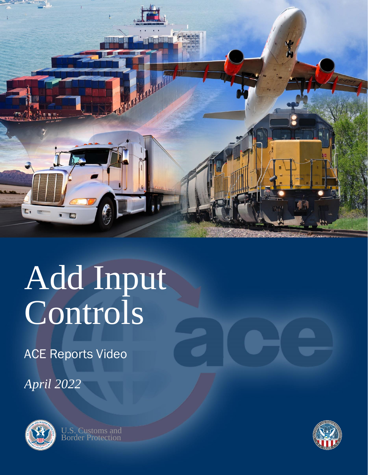

## Add Input Controls

ACE Reports Video

*April 2022*



U.S. Customs and Border Protection

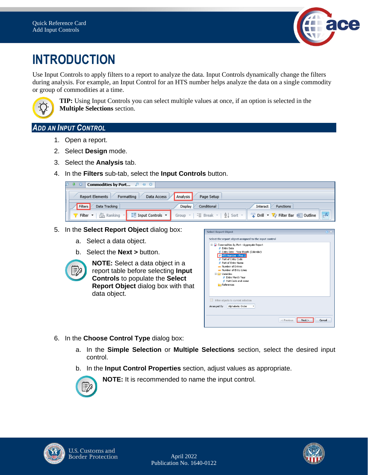

## **INTRODUCTION**

Use Input Controls to apply filters to a report to analyze the data. Input Controls dynamically change the filters during analysis. For example, an Input Control for an HTS number helps analyze the data on a single commodity or group of commodities at a time.



**TIP:** Using Input Controls you can select multiple values at once, if an option is selected in the **Multiple Selections** section.

## *ADD AN INPUT CONTROL*

- 1. Open a report.
- 2. Select **Design** mode.
- 3. Select the **Analysis** tab.
- 4. In the **Filters** sub-tab, select the **Input Controls** button.

| <b>Commodities by Port</b> $P + Q$<br><b>P 4 8 1</b>                                                                      |                        |                                                                                                                                                                                     |  |  |
|---------------------------------------------------------------------------------------------------------------------------|------------------------|-------------------------------------------------------------------------------------------------------------------------------------------------------------------------------------|--|--|
| Data Access<br><b>Analysis</b><br>Page Setup<br>Formatting<br><b>Report Elements</b>                                      |                        |                                                                                                                                                                                     |  |  |
| Data Tracking<br>Filters                                                                                                  | Conditional<br>Display | Functions<br>Interact                                                                                                                                                               |  |  |
| $\frac{1}{2}$ $\frac{1}{2}$ Input Controls $\rightarrow$<br>Filter $\mathbf{v}$   $\frac{d^n}{dx^n}$ Ranking $\mathbf{v}$ |                        | $\mathbf{f}$<br>Group $\mathbf{v}$   $\equiv$ Break $\mathbf{v}$   $\frac{A}{Z}\downarrow$ Sort $\mathbf{v}$   $\equiv$ Drill $\mathbf{v}$   $\equiv$ Filter Bar   $\equiv$ Outline |  |  |

- 5. In the **Select Report Object** dialog box:
	- a. Select a data object.
	- b. Select the **Next >** button.



**NOTE:** Select a data object in a report table before selecting **Input Controls** to populate the **Select Report Object** dialog box with that data object.



- 6. In the **Choose Control Type** dialog box:
	- a. In the **Simple Selection** or **Multiple Selections** section, select the desired input control.
	- b. In the **Input Control Properties** section, adjust values as appropriate.



**NOTE:** It is recommended to name the input control.